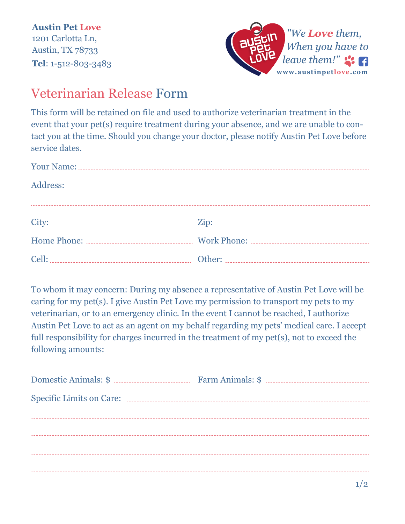**Austin Pet Love** 1201 Carlotta Ln, Austin, TX 78733 **Tel**: 1-512-803-3483



## Veterinarian Release Form

This form will be retained on file and used to authorize veterinarian treatment in the event that your pet(s) require treatment during your absence, and we are unable to contact you at the time. Should you change your doctor, please notify Austin Pet Love before service dates.

To whom it may concern: During my absence a representative of Austin Pet Love will be caring for my pet(s). I give Austin Pet Love my permission to transport my pets to my veterinarian, or to an emergency clinic. In the event I cannot be reached, I authorize Austin Pet Love to act as an agent on my behalf regarding my pets' medical care. I accept full responsibility for charges incurred in the treatment of my pet(s), not to exceed the following amounts: